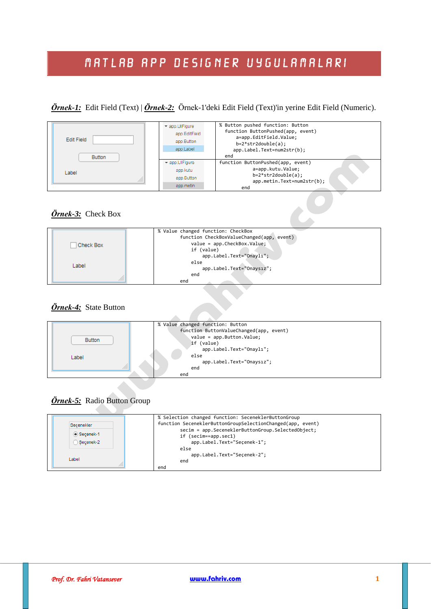# MATLAB APP DESIGNER UYGULAMALARI

*Örnek-1:* Edit Field (Text) | *Örnek-2:* Örnek-1'deki Edit Field (Text)'in yerine Edit Field (Numeric).

| Edit Field<br><b>Button</b> | $\blacktriangleright$ app. UIFigure<br>app.EditField<br>app.Button<br>app.Label | % Button pushed function: Button<br>function ButtonPushed(app, event)<br>a=app.EditField.Value;<br>$b=2*str2double(a);$<br>app.Label.Text=num2str(b);<br>end |
|-----------------------------|---------------------------------------------------------------------------------|--------------------------------------------------------------------------------------------------------------------------------------------------------------|
|                             | $\blacktriangleright$ app. UIFigure                                             | function ButtonPushed(app, event)                                                                                                                            |
| Label                       | app.kutu                                                                        | a=app.kutu.Value;                                                                                                                                            |
|                             | app.Button                                                                      | $b=2*str2double(a);$                                                                                                                                         |
|                             | app.metin                                                                       | app.metin.Text=num2str(b);<br>end                                                                                                                            |

#### **Örnek-3:** Check Box



#### *Örnek-4:* State Button



### *Örnek-5:* Radio Button Group

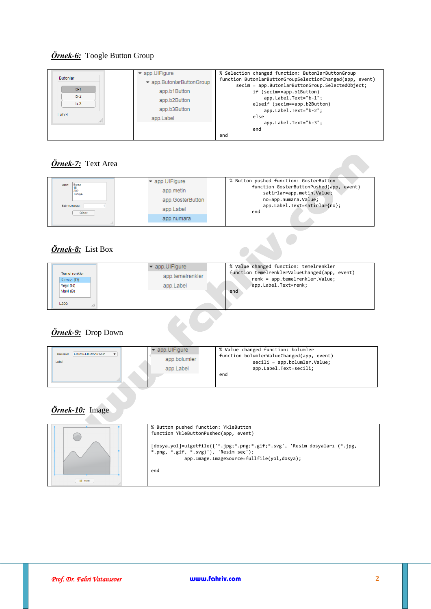## *Örnek-6:* Toogle Button Group

| Butonlar<br>$b-1$<br>$b-2$<br>$b-3$<br>Label | $\blacktriangleright$ app. UIFigure<br>▼ app.ButonlarButtonGroup<br>app.b1Button<br>app.b2Button<br>app.b3Button<br>app.Label | % Selection changed function: ButonlarButtonGroup<br>function ButonlarButtonGroupSelectionChanged(app, event)<br>secim = app.ButonlarButtonGroup.SelectedObject;<br>if (secim==app.b1Button)<br>app.Label.Text="b-1";<br>elseif (secim==app.b2Button)<br>app.Label.Text="b-2";<br>else<br>app.Label.Text="b-3";<br>end |
|----------------------------------------------|-------------------------------------------------------------------------------------------------------------------------------|------------------------------------------------------------------------------------------------------------------------------------------------------------------------------------------------------------------------------------------------------------------------------------------------------------------------|
|                                              |                                                                                                                               | end                                                                                                                                                                                                                                                                                                                    |

## *Örnek-7:* Text Area

| <b>Bursa</b><br>Metin:<br>2021<br>Türkive<br>Satir numarası:<br>Göster | ▼ app.UIFigure<br>app.metin<br>app.GosterButton<br>app.Label | % Button pushed function: GosterButton<br>function GosterButtonPushed(app,<br>event)<br>satirlar=app.metin.Value;<br>no=app.numara.Value;<br>app.Label.Text=satirlar{no};<br>end |
|------------------------------------------------------------------------|--------------------------------------------------------------|----------------------------------------------------------------------------------------------------------------------------------------------------------------------------------|
|                                                                        | app.numara                                                   |                                                                                                                                                                                  |

## *Örnek-8:* List Box

| $\ddot{\textbf{O}}$ rnek-8: List Box |                                      |                                                                                 |
|--------------------------------------|--------------------------------------|---------------------------------------------------------------------------------|
|                                      | $\blacktriangleright$ app. UllFigure | % Value changed function: temelrenkler                                          |
| Temel renkler<br>Kırmızı (R)         | app.temelrenkler                     | function temelrenklerValueChanged(app, event)<br>renk = app.temelrenkler.Value; |
| Yesil (G)                            | app.Label                            | app.Label.Text=renk;                                                            |
| Mavi (B)                             |                                      | end                                                                             |
| Label                                |                                      |                                                                                 |
| <b>Örnek-9:</b> Drop Down            |                                      |                                                                                 |

## *Örnek-9:* Drop Down

## *Örnek-10:* Image

|                  | % Button pushed function: YkleButton<br>function YkleButtonPushed(app, event)<br>[dosya,yol]=uigetfile({'*.jpg;*.png;*.gif;*.svg', 'Resim dosyaları (*.jpg,<br>*.png, *.gif, *.svg)'}, 'Resim sec');<br>app.Image.ImageSource=fullfile(yol,dosya); |
|------------------|----------------------------------------------------------------------------------------------------------------------------------------------------------------------------------------------------------------------------------------------------|
| <b>PET Yükle</b> | end                                                                                                                                                                                                                                                |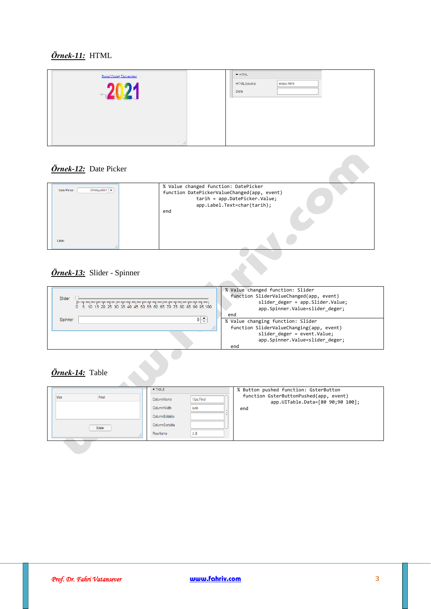## *Örnek-11:* HTML

| Bursa Uludağ Üniversitesi      |  | $\blacktriangleright$ HTML |            |  |
|--------------------------------|--|----------------------------|------------|--|
| <b>SRENGE</b>                  |  | HTMLSource<br>Data         | index.html |  |
| thank the controllers the con- |  |                            |            |  |
|                                |  |                            |            |  |
|                                |  |                            |            |  |

## *Örnek-12:* Date Picker

| 21/May/2021 -<br>Date Picker | % Value changed function: DatePicker<br>function DatePickerValueChanged(app, event)<br>tarih = app.DatePicker.Value;<br>app.Label.Text=char(tarih);<br>end |
|------------------------------|------------------------------------------------------------------------------------------------------------------------------------------------------------|
| Label                        |                                                                                                                                                            |

### *Örnek-13:* Slider - Spinner

|                            | % Value changed function: Slider<br>function SliderValueChanged(app, event) |
|----------------------------|-----------------------------------------------------------------------------|
| Slider                     | slider deger = app. Slider. Value;<br>app.Spinner.Value=slider deger;       |
|                            | end                                                                         |
| $0 \rightarrow$<br>Spinner | % Value changing function: Slider                                           |
|                            | function SliderValueChanging(app, event)                                    |
|                            | slider deger = event.Value;                                                 |
|                            | app.Spinner.Value=slider deger;                                             |
|                            | end                                                                         |
|                            |                                                                             |
| Örnek-14: Table            |                                                                             |

# *Örnek-14:* Table

|               | $\blacktriangledown$ TABLE | % Button pushed function: GsterButton                                      |
|---------------|----------------------------|----------------------------------------------------------------------------|
| Vize<br>Final | Vize, Final<br>ColumnName  | function GsterButtonPushed(app, event)<br>app.UITable.Data=[80 90;90 100]; |
|               | ColumnWidth<br>auto        | end                                                                        |
|               | ColumnEditable             |                                                                            |
| Göster        | ColumnSortable             |                                                                            |
|               | RowName<br>A.B             |                                                                            |
|               |                            |                                                                            |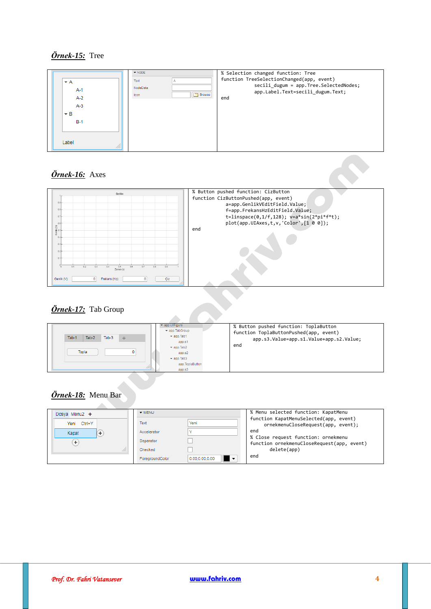#### *Örnek-15:* Tree





### *Örnek-17:* Tab Group

| <i>Örnek-17:</i> Tab Group                 |                                                                                                                                                                                                    |                                                                                                                                   |
|--------------------------------------------|----------------------------------------------------------------------------------------------------------------------------------------------------------------------------------------------------|-----------------------------------------------------------------------------------------------------------------------------------|
| Tab-1<br>Tab-3<br>Tab-2<br>÷<br>Topla<br>n | $\blacktriangledown$ app. UIFigure<br>$\blacktriangleright$ app. TabGroup<br>$\sqrt{a}$ app. Tab1<br>app.s1<br>$\bullet$ app. Tab2<br>app.s2<br>$\sqrt{a}$ app. Tab3<br>app. ToplaButton<br>app.s3 | % Button pushed function: ToplaButton<br>function ToplaButtonPushed(app, event)<br>app.s3.Value=app.s1.Value+app.s2.Value;<br>end |

### *Örnek-18:* Menu Bar

| Dosya Menu2 + | $\blacktriangledown$ MENU |                      | % Menu selected function: KapatMenu                                               |
|---------------|---------------------------|----------------------|-----------------------------------------------------------------------------------|
| Yeni Ctrl+Y   | Text                      | Yeni                 | function KapatMenuSelected(app, event)<br>ornekmenuCloseRequest(app, event);      |
| Kapat         | Accelerator               |                      | end                                                                               |
| ÷             | Separator                 |                      | % Close request function: ornekmenu<br>function ornekmenuCloseRequest(app, event) |
|               | Checked                   |                      | delete(app)                                                                       |
|               | ForegroundColor           | I.<br>0.00.0.00.0.00 | end                                                                               |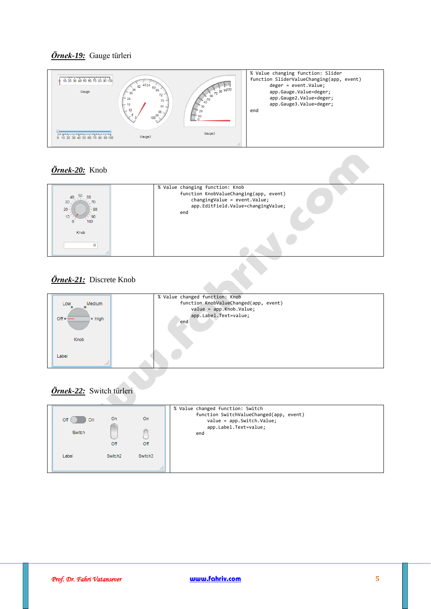



## *Örnek-20:* Knob

| 50<br>40<br>60<br>30<br>70<br>$20 -$<br>-80<br>10 <sub>1</sub><br>90<br>100 | % Value changing function: Knob<br>function KnobValueChanging(app, event)<br>changingValue = event.Value;<br>app.EditField.Value=changingValue;<br>end |
|-----------------------------------------------------------------------------|--------------------------------------------------------------------------------------------------------------------------------------------------------|
| Knob                                                                        |                                                                                                                                                        |
|                                                                             |                                                                                                                                                        |

## *Örnek-21:* Discrete Knob



## *Örnek-22:* Switch türleri